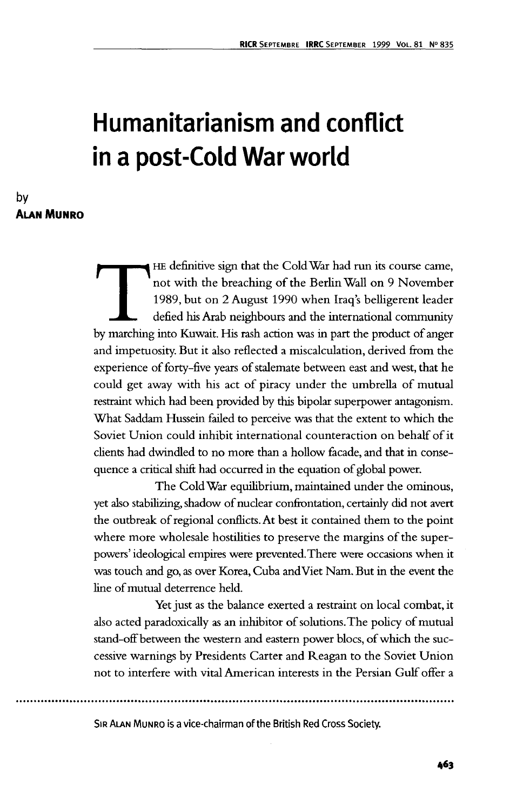# **Humanitarianism and conflict in a post-Cold War world**

**by ALAN MUNRO**

> THE definitive sign that the Cold War had run its course came,<br>
> not with the breaching of the Berlin Wall on 9 November<br>
> 1989, but on 2 August 1990 when Iraq's belligerent leader<br>
> defied his Arab neighbours and the interna not with the breaching of the Berlin Wall on 9 November 1989, but on 2 August 1990 when Iraq's belligerent leader defied his Arab neighbours and the international community and impetuosity. But it also reflected a miscalculation, derived from the experience of forty-five years of stalemate between east and west, that he could get away with his act of piracy under the umbrella of mutual restraint which had been provided by this bipolar superpower antagonism. What Saddam Hussein failed to perceive was that the extent to which the Soviet Union could inhibit international counteraction on behalf of it clients had dwindled to no more than a hollow facade, and that in consequence a critical shift had occurred in the equation of global power.

> The Cold War equilibrium, maintained under the ominous, yet also stabilizing, shadow of nuclear confrontation, certainly did not avert the outbreak of regional conflicts. At best it contained them to the point where more wholesale hostilities to preserve the margins of the superpowers' ideological empires were prevented. There were occasions when it was touch and go, as over Korea, Cuba and Viet Nam. But in the event the line of mutual deterrence held.

> Yet just as the balance exerted a restraint on local combat, it also acted paradoxically as an inhibitor of solutions. The policy of mutual stand-off between the western and eastern power blocs, of which the successive warnings by Presidents Carter and Reagan to the Soviet Union not to interfere with vital American interests in the Persian Gulf offer a

SIR ALAN MUNRO is a vice-chairman of the British Red Cross Society.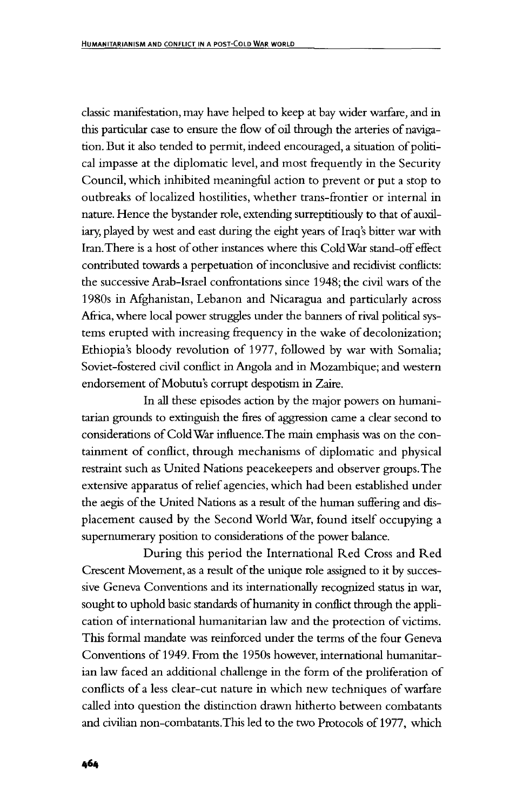classic manifestation, may have helped to keep at bay wider warfare, and in this particular case to ensure the flow of oil through the arteries of navigation. But it also tended to permit, indeed encouraged, a situation of political impasse at the diplomatic level, and most frequently in the Security Council, which inhibited meaningful action to prevent or put a stop to outbreaks of localized hostilities, whether trans-frontier or internal in nature. Hence the bystander role, extending surreptitiously to that of auxiliary, played by west and east during the eight years of Iraq's bitter war with Iran.There is a host of other instances where this Cold War stand-off effect contributed towards a perpetuation of inconclusive and recidivist conflicts: the successive Arab-Israel confrontations since 1948; the civil wars of the 1980s in Afghanistan, Lebanon and Nicaragua and particularly across Africa, where local power struggles under the banners of rival political systems erupted with increasing frequency in the wake of decolonization; Ethiopia's bloody revolution of 1977, followed by war with Somalia; Soviet-fostered civil conflict in Angola and in Mozambique; and western endorsement of Mobutu's corrupt despotism in Zaire.

In all these episodes action by the major powers on humanitarian grounds to extinguish the fires of aggression came a clear second to considerations of Cold War influence. The main emphasis was on the containment of conflict, through mechanisms of diplomatic and physical restraint such as United Nations peacekeepers and observer groups. The extensive apparatus of relief agencies, which had been established under the aegis of the United Nations as a result of the human suffering and displacement caused by the Second World War, found itself occupying a supernumerary position to considerations of the power balance.

During this period the International Red Cross and Red Crescent Movement, as a result of the unique role assigned to it by successive Geneva Conventions and its internationally recognized status in war, sought to uphold basic standards of humanity in conflict through the application of international humanitarian law and the protection of victims. This formal mandate was reinforced under the terms of the four Geneva Conventions of 1949. From the 1950s however, international humanitarian law faced an additional challenge in the form of the proliferation of conflicts of a less clear-cut nature in which new techniques of warfare called into question the distinction drawn hitherto between combatants and civilian non-combatants.This led to the two Protocols of 1977, which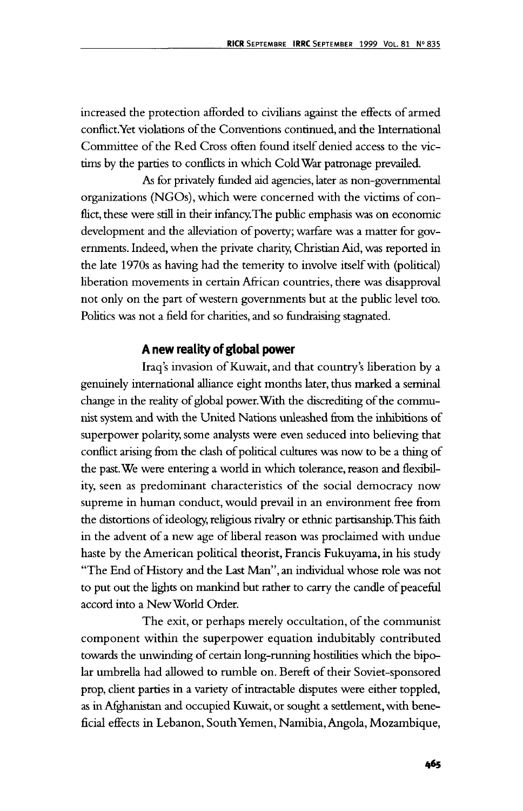increased the protection afForded to civilians against the effects of armed conflict.Yet violations of the Conventions continued, and the International Committee of the Red Cross often found itself denied access to the victims by the parties to conflicts in which Cold War patronage prevailed.

As for privately funded aid agencies, later as non-governmental organizations (NGOs), which were concerned with the victims of conflict, these were still in their infancy. The public emphasis was on economic development and the alleviation of poverty; warfare was a matter for governments. Indeed, when the private charity, Christian Aid, was reported in the late 1970s as having had the temerity to involve itself with (political) liberation movements in certain African countries, there was disapproval not only on the part of western governments but at the public level too. Politics was not a field for charities, and so fundraising stagnated.

### **A new reality of global power**

Iraq's invasion of Kuwait, and that country's liberation by a genuinely international alliance eight months later, thus marked a seminal change in the reality of global power. With the discrediting of the communist system and with the United Nations unleashed from the inhibitions of superpower polarity, some analysts were even seduced into believing that conflict arising from the clash of political cultures was now to be a thing of the past. We were entering a world in which tolerance, reason and flexibility, seen as predominant characteristics of the social democracy now supreme in human conduct, would prevail in an environment free from the distortions of ideology, religious rivalry or ethnic partisanship. This faith in the advent of a new age of liberal reason was proclaimed with undue haste by the American political theorist, Francis Fukuyama, in his study "The End of History and the Last Man", an individual whose role was not to put out the lights on mankind but rather to carry the candle of peaceful accord into a New World Order.

The exit, or perhaps merely occultation, of the communist component within the superpower equation indubitably contributed towards the unwinding of certain long-running hostilities which the bipolar umbrella had allowed to rumble on. Bereft of their Soviet-sponsored prop, client parties in a variety of intractable disputes were either toppled, as in Afghanistan and occupied Kuwait, or sought a settlement, with beneficial effects in Lebanon, South Yemen, Namibia, Angola, Mozambique,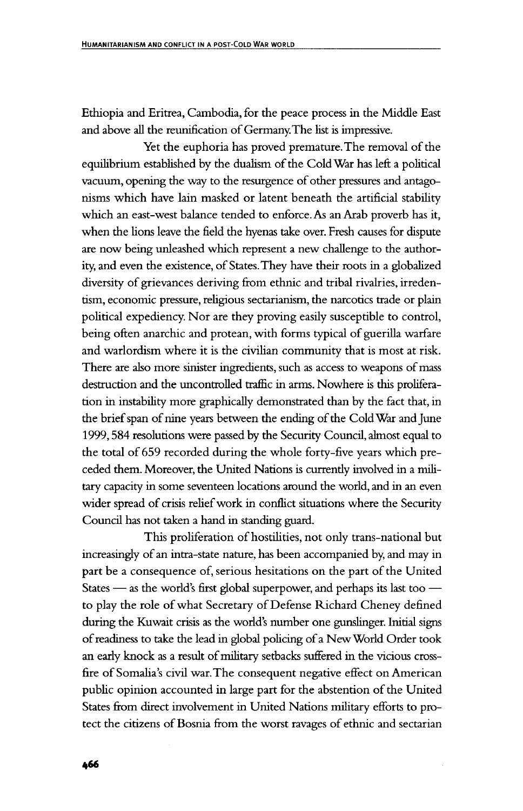Ethiopia and Eritrea, Cambodia, for the peace process in the Middle East and above all the reunification of Germany. The list is impressive.

Yet the euphoria has proved premature. The removal of the equilibrium established by the dualism of the Cold War has left a political vacuum, opening the way to the resurgence of other pressures and antagonisms which have lain masked or latent beneath the artificial stability which an east-west balance tended to enforce. As an Arab proverb has it, when the lions leave the field the hyenas take over. Fresh causes for dispute are now being unleashed which represent a new challenge to the authority, and even the existence, of States.They have their roots in a globalized diversity of grievances deriving from ethnic and tribal rivalries, irredentism, economic pressure, religious sectarianism, the narcotics trade or plain political expediency. Nor are they proving easily susceptible to control, being often anarchic and protean, with forms typical of guerilla warfare and warlordism where it is the civilian community that is most at risk. There are also more sinister ingredients, such as access to weapons of mass destruction and the uncontrolled traffic in arms. Nowhere is this proliferation in instability more graphically demonstrated than by the fact that, in the brief span of nine years between the ending of the Cold War and June 1999,584 resolutions were passed by the Security Council, almost equal to the total of 659 recorded during the whole forty-five years which preceded them. Moreover, the United Nations is currently involved in a military capacity in some seventeen locations around the world, and in an even wider spread of crisis relief work in conflict situations where the Security Council has not taken a hand in standing guard.

This proliferation of hostilities, not only trans-national but increasingly of an intra-state nature, has been accompanied by, and may in part be a consequence of, serious hesitations on the part of the United States — as the world's first global superpower, and perhaps its last too to play the role of what Secretary of Defense Richard Cheney defined during the Kuwait crisis as the world's number one gunslinger. Initial signs of readiness to take the lead in global policing of a New World Order took an early knock as a result of military setbacks suffered in the vicious crossfire of Somalia's civil war. The consequent negative effect on American public opinion accounted in large part for the abstention of the United States from direct involvement in United Nations military efforts to protect the citizens of Bosnia from the worst ravages of ethnic and sectarian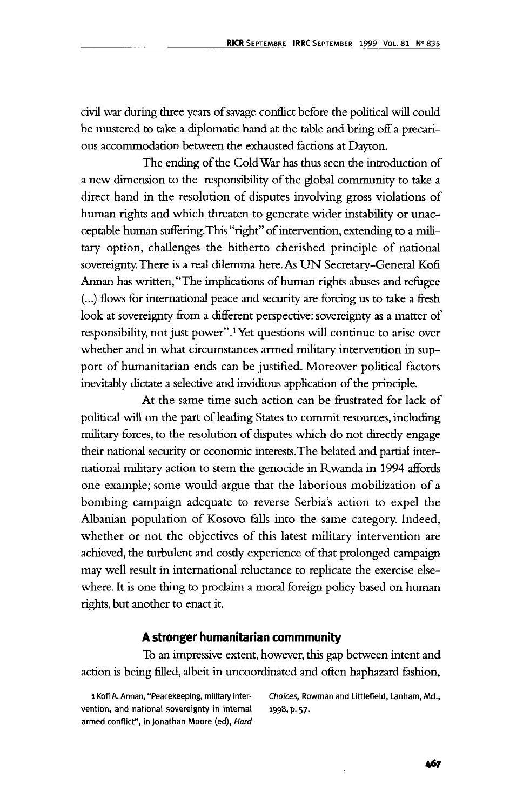civil war during three years of savage conflict before the political will could be mustered to take a diplomatic hand at the table and bring off a precarious accommodation between the exhausted factions at Dayton.

The ending of the Cold War has thus seen the introduction of a new dimension to the responsibility of the global community to take a direct hand in the resolution of disputes involving gross violations of human rights and which threaten to generate wider instability or unacceptable human suffering. This "right" of intervention, extending to a military option, challenges the hitherto cherished principle of national sovereignty. There is a real dilemma here. As UN Secretary-General Kofi Annan has written, "The implications of human rights abuses and refugee (...) flows for international peace and security are forcing us to take a fresh look at sovereignty from a different perspective: sovereignty as a matter of responsibility, not just power".! Yet questions will continue to arise over whether and in what circumstances armed military intervention in support of humanitarian ends can be justified. Moreover political factors inevitably dictate a selective and invidious application of the principle.

At the same time such action can be frustrated for lack of political will on the part of leading States to commit resources, including military forces, to the resolution of disputes which do not directly engage their national security or economic interests. The belated and partial international military action to stem the genocide in Rwanda in 1994 affords one example; some would argue that the laborious mobilization of a bombing campaign adequate to reverse Serbia's action to expel the Albanian population of Kosovo falls into the same category. Indeed, whether or not the objectives of this latest military intervention are achieved, the turbulent and costly experience of that prolonged campaign may well result in international reluctance to replicate the exercise elsewhere. It is one thing to proclaim a moral foreign policy based on human rights, but another to enact it.

#### **A stronger humanitarian commmunity**

To an impressive extent, however, this gap between intent and action is being filled, albeit in uncoordinated and often haphazard fashion,

vention, and national sovereignty in internal 1998, p. 57. armed conflict", in Jonathan Moore (ed), Hard

1 Kofi A. Annan, "Peacekeeping, military inter- Choices, Rowman and Littlefield, Lanham, Md.,

467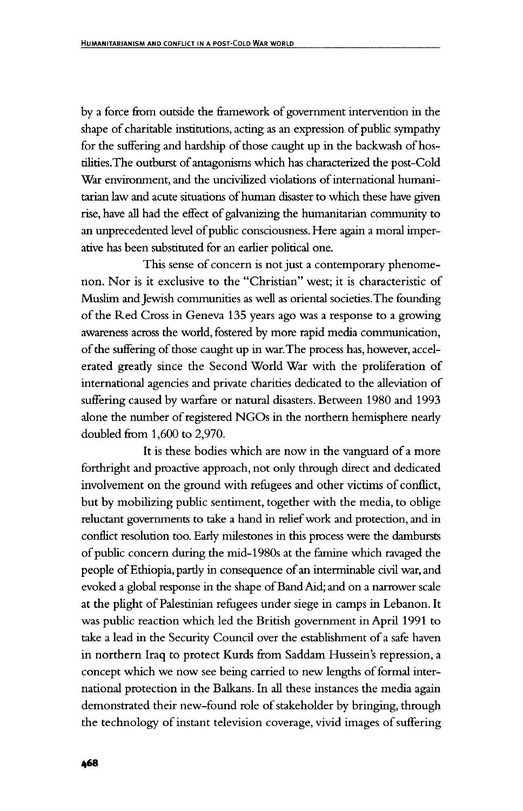by a force from outside the framework of government intervention in the shape of charitable institutions, acting as an expression of public sympathy for the suffering and hardship of those caught up in the backwash of hostilities.The outburst of antagonisms which has characterized the post-Cold War environment, and the uncivilized violations of international humanitarian law and acute situations of human disaster to which these have given rise, have all had the effect of galvanizing the humanitarian community to an unprecedented level of public consciousness. Here again a moral imperative has been substituted for an earlier political one.

This sense of concern is not just a contemporary phenomenon. Nor is it exclusive to the "Christian" west; it is characteristic of Muslim and Jewish communities as well as oriental societies.The founding of the Red Cross in Geneva 135 years ago was a response to a growing awareness across the world, fostered by more rapid media communication, of the suffering of those caught up in war. The process has, however, accelerated greatly since the Second World War with the proliferation of international agencies and private charities dedicated to the alleviation of suffering caused by warfare or natural disasters. Between 1980 and 1993 alone the number of registered NGOs in the northern hemisphere nearly doubled from 1,600 to 2,970.

It is these bodies which are now in the vanguard of a more forthright and proactive approach, not only through direct and dedicated involvement on the ground with refugees and other victims of conflict, but by mobilizing public sentiment, together with the media, to oblige reluctant governments to take a hand in relief work and protection, and in conflict resolution too. Early milestones in this process were the dambursts of public concern during the mid-1980s at the famine which ravaged the people of Ethiopia, partly in consequence of an interminable civil war, and evoked a global response in the shape of Band Aid; and on a narrower scale at the plight of Palestinian refugees under siege in camps in Lebanon. It was public reaction which led the British government in April 1991 to take a lead in the Security Council over the establishment of a safe haven in northern Iraq to protect Kurds from Saddam Hussein's repression, a concept which we now see being carried to new lengths of formal international protection in the Balkans. In all these instances the media again demonstrated their new-found role of stakeholder by bringing, through the technology of instant television coverage, vivid images of suffering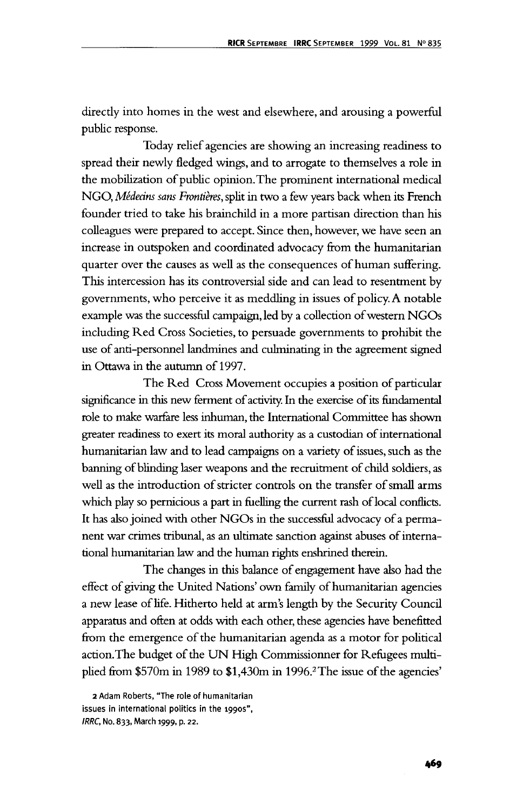directly into homes in the west and elsewhere, and arousing a powerful public response.

Today relief agencies are showing an increasing readiness to spread their newly fledged wings, and to arrogate to themselves a role in the mobilization of public opinion. The prominent international medical NGO, *Mededns sans Frontieres,* split in two a few years back when its French founder tried to take his brainchild in a more partisan direction than his colleagues were prepared to accept. Since then, however, we have seen an increase in outspoken and coordinated advocacy from the humanitarian quarter over the causes as well as the consequences of human suffering. This intercession has its controversial side and can lead to resentment by governments, who perceive it as meddling in issues of policy. A notable example was the successful campaign, led by a collection of western NGOs including Red Cross Societies, to persuade governments to prohibit the use of anti-personnel landmines and culminating in the agreement signed in Ottawa in the autumn of 1997.

The Red Cross Movement occupies a position of particular significance in this new ferment of activity. In the exercise of its fundamental role to make warfare less inhuman, the International Committee has shown greater readiness to exert its moral authority as a custodian of international humanitarian law and to lead campaigns on a variety of issues, such as the banning of blinding laser weapons and the recruitment of child soldiers, as well as the introduction of stricter controls on the transfer of small arms which play so pernicious a part in fuelling the current rash of local conflicts. It has also joined with other NGOs in the successful advocacy of a permanent war crimes tribunal, as an ultimate sanction against abuses of international humanitarian law and the human rights enshrined therein.

The changes in this balance of engagement have also had the effect of giving the United Nations' own family of humanitarian agencies a new lease of life. Hitherto held at arm's length by the Security Council apparatus and often at odds with each other, these agencies have benefitted from the emergence of the humanitarian agenda as a motor for political action. The budget of the UN High Commissionner for Refugees multiplied from \$570m in 1989 to \$1,430m in 1996.<sup>2</sup> The issue of the agencies'

<sup>2</sup> Adam Roberts, "The role of humanitarian issues in international politics in the 1990s", IRRC, No. 833, March 1999, p. 22.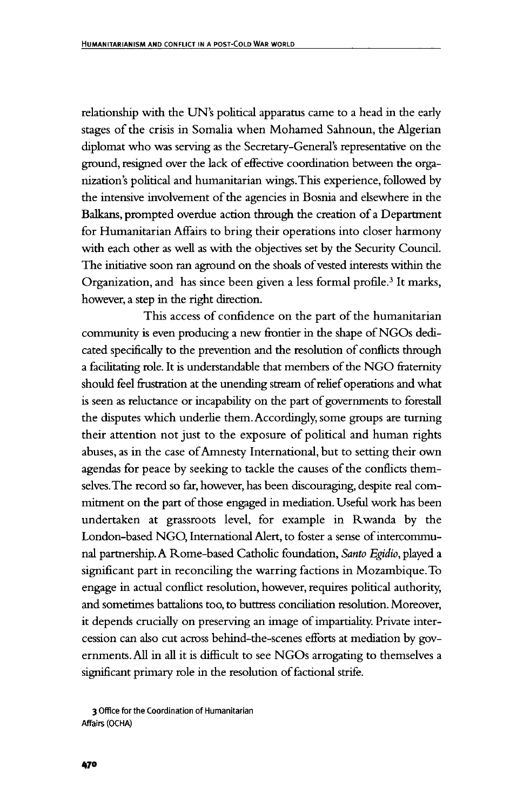relationship with the UN's political apparatus came to a head in the early stages of the crisis in Somalia when Mohamed Sahnoun, the Algerian diplomat who was serving as the Secretary-General's representative on the ground, resigned over the lack of effective coordination between the organization's political and humanitarian wings. This experience, followed by the intensive involvement of the agencies in Bosnia and elsewhere in the Balkans, prompted overdue action through the creation of a Department for Humanitarian Affairs to bring their operations into closer harmony with each other as well as with the objectives set by the Security Council. The initiative soon ran aground on the shoals of vested interests within the Organization, and has since been given a less formal profile.<sup>3</sup> It marks, however, a step in the right direction.

This access of confidence on the part of the humanitarian community is even producing a new frontier in the shape of NGOs dedicated specifically to the prevention and the resolution of conflicts through a facilitating role. It is understandable that members of the NGO fraternity should feel frustration at the unending stream of relief operations and what is seen as reluctance or incapability on the part of governments to forestall the disputes which underlie them. Accordingly, some groups are turning their attention not just to the exposure of political and human rights abuses, as in the case of Amnesty International, but to setting their own agendas for peace by seeking to tackle the causes of the conflicts themselves. The record so far, however, has been discouraging, despite real commitment on the part of those engaged in mediation. Useful work has been undertaken at grassroots level, for example in Rwanda by the London-based NGO, International Alert, to foster a sense of intercommunal partnership. A Rome-based Catholic foundation, *Santo Egidio,* played a significant part in reconciling the warring factions in Mozambique. To engage in actual conflict resolution, however, requires political authority, and sometimes battalions too, to buttress conciliation resolution. Moreover, it depends crucially on preserving an image of impartiality. Private intercession can also cut across behind-the-scenes efforts at mediation by governments. All in all it is difficult to see NGOs arrogating to themselves a significant primary role in the resolution of factional strife.

**3 Office for the Coordination of Humanitarian Affairs (OCHA)**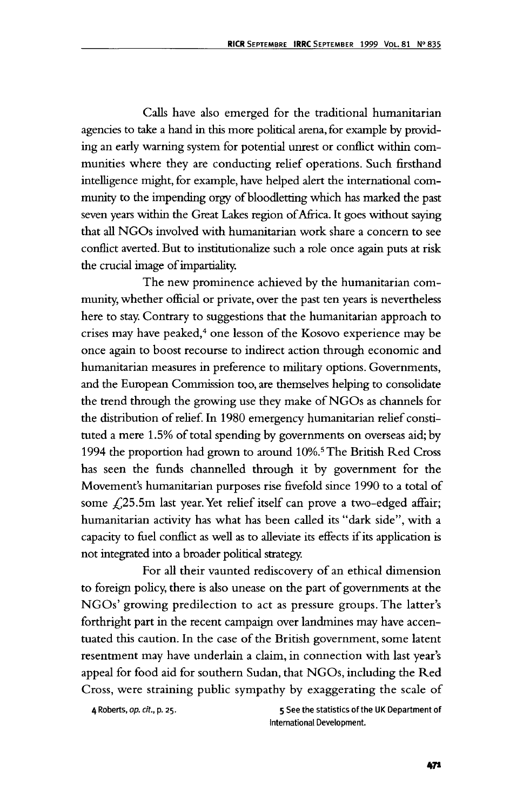Calls have also emerged for the traditional humanitarian agencies to take a hand in this more political arena, for example by providing an early warning system for potential unrest or conflict within communities where they are conducting relief operations. Such firsthand intelligence might, for example, have helped alert the international community to the impending orgy of bloodletting which has marked the past seven years within the Great Lakes region of Africa. It goes without saying that all NGOs involved with humanitarian work share a concern to see conflict averted. But to institutionalize such a role once again puts at risk the crucial image of impartiality.

The new prominence achieved by the humanitarian community, whether official or private, over the past ten years is nevertheless here to stay. Contrary to suggestions that the humanitarian approach to crises may have peaked,<sup>4</sup> one lesson of the Kosovo experience may be once again to boost recourse to indirect action through economic and humanitarian measures in preference to military options. Governments, and the European Commission too, are themselves helping to consolidate the trend through the growing use they make of NGOs as channels for the distribution of relief. In 1980 emergency humanitarian relief constituted a mere 1.5% of total spending by governments on overseas aid; by 1994 the proportion had grown to around 10%.5 The British Red Cross has seen the funds channelled through it by government for the Movement's humanitarian purposes rise fivefold since 1990 to a total of some £25.5m last year. Yet relief itself can prove a two-edged affair; humanitarian activity has what has been called its "dark side", with a capacity to fuel conflict as well as to alleviate its effects if its application is not integrated into a broader political strategy.

For all their vaunted rediscovery of an ethical dimension to foreign policy, there is also unease on the part of governments at the NGOs' growing predilection to act as pressure groups. The latter's forthright part in the recent campaign over landmines may have accentuated this caution. In the case of the British government, some latent resentment may have underlain a claim, in connection with last year's appeal for food aid for southern Sudan, that NGOs, including the Red Cross, were straining public sympathy by exaggerating the scale of

4 Roberts, op. cit., p. 25. 5 See the statistics of the UK Department of International Development.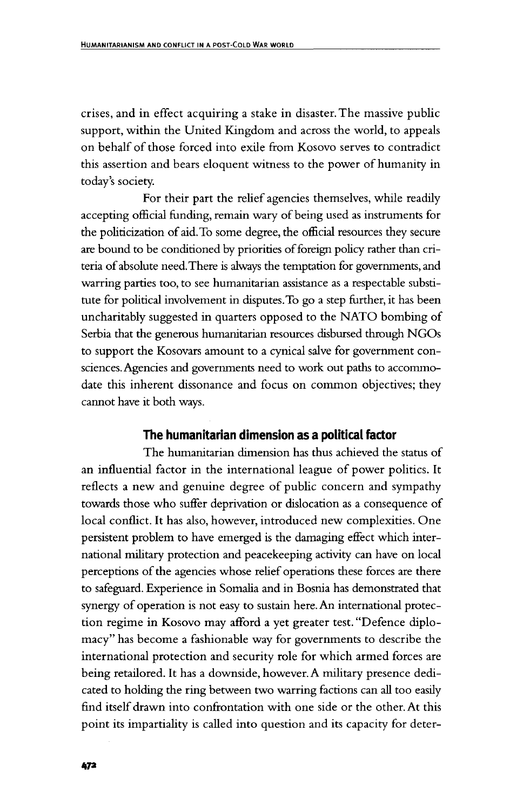crises, and in effect acquiring a stake in disaster. The massive public support, within the United Kingdom and across the world, to appeals on behalf of those forced into exile from Kosovo serves to contradict this assertion and bears eloquent witness to the power of humanity in today's society.

For their part the relief agencies themselves, while readily accepting official funding, remain wary of being used as instruments for the politicization of aid. To some degree, the official resources they secure are bound to be conditioned by priorities of foreign policy rather than criteria of absolute need. There is always the temptation for governments, and warring parties too, to see humanitarian assistance as a respectable substitute for political involvement in disputes.To go a step further, it has been uncharitably suggested in quarters opposed to the NATO bombing of Serbia that the generous humanitarian resources disbursed through NGOs to support the Kosovars amount to a cynical salve for government consciences. Agencies and governments need to work out paths to accommodate this inherent dissonance and focus on common objectives; they cannot have it both ways.

### **The humanitarian dimension as a political factor**

The humanitarian dimension has thus achieved the status of an influential factor in the international league of power politics. It reflects a new and genuine degree of public concern and sympathy towards those who suffer deprivation or dislocation as a consequence of local conflict. It has also, however, introduced new complexities. One persistent problem to have emerged is the damaging effect which international military protection and peacekeeping activity can have on local perceptions of the agencies whose relief operations these forces are there to safeguard. Experience in Somalia and in Bosnia has demonstrated that synergy of operation is not easy to sustain here. An international protection regime in Kosovo may afford a yet greater test. "Defence diplomacy" has become a fashionable way for governments to describe the international protection and security role for which armed forces are being retailored. It has a downside, however. A military presence dedicated to holding the ring between two warring factions can all too easily find itself drawn into confrontation with one side or the other. At this point its impartiality is called into question and its capacity for deter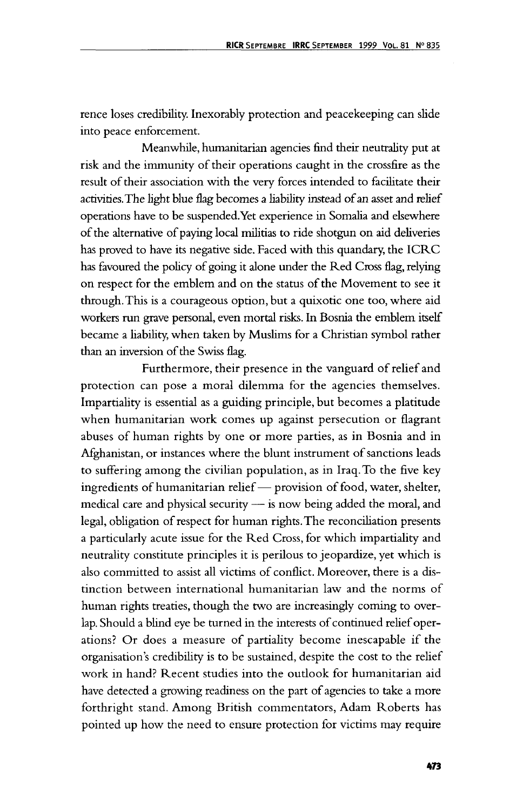rence loses credibility. Inexorably protection and peacekeeping can slide into peace enforcement.

Meanwhile, humanitarian agencies find their neutrality put at risk and the immunity of their operations caught in the crossfire as the result of their association with the very forces intended to facilitate their activities.The light blue flag becomes a liability instead of an asset and relief operations have to be suspended.Yet experience in Somalia and elsewhere of the alternative of paying local militias to ride shotgun on aid deliveries has proved to have its negative side. Faced with this quandary, the ICRC has favoured the policy of going it alone under the Red Cross flag, relying on respect for the emblem and on the status of the Movement to see it through. This is a courageous option, but a quixotic one too, where aid workers run grave personal, even mortal risks. In Bosnia the emblem itself became a liability, when taken by Muslims for a Christian symbol rather than an inversion of the Swiss flag.

Furthermore, their presence in the vanguard of relief and protection can pose a moral dilemma for the agencies themselves. Impartiality is essential as a guiding principle, but becomes a platitude when humanitarian work comes up against persecution or flagrant abuses of human rights by one or more parties, as in Bosnia and in Afghanistan, or instances where the blunt instrument of sanctions leads to suffering among the civilian population, as in Iraq. To the five key ingredients of humanitarian relief— provision of food, water, shelter, medical care and physical security — is now being added the moral, and legal, obligation of respect for human rights. The reconciliation presents a particularly acute issue for the Red Cross, for which impartiality and neutrality constitute principles it is perilous to jeopardize, yet which is also committed to assist all victims of conflict. Moreover, there is a distinction between international humanitarian law and the norms of human rights treaties, though the two are increasingly coming to overlap. Should a blind eye be turned in the interests of continued relief operations? Or does a measure of partiality become inescapable if the organisation's credibility is to be sustained, despite the cost to the relief work in hand? Recent studies into the outlook for humanitarian aid have detected a growing readiness on the part of agencies to take a more forthright stand. Among British commentators, Adam Roberts has pointed up how the need to ensure protection for victims may require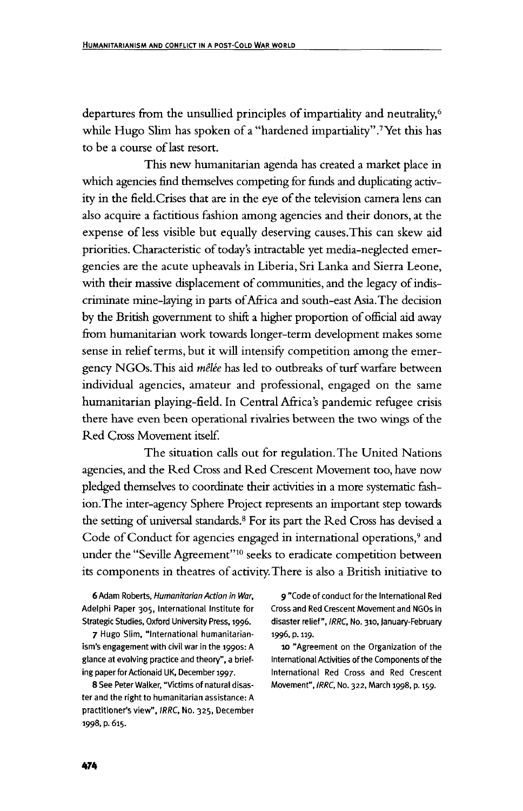departures from the unsullied principles of impartiality and neutrality,<sup>6</sup> while Hugo Slim has spoken of a "hardened impartiality".<sup>7</sup> Yet this has to be a course of last resort.

This new humanitarian agenda has created a market place in which agencies find themselves competing for funds and duplicating activity in the field.Crises that are in the eye of the television camera lens can also acquire a factitious fashion among agencies and their donors, at the expense of less visible but equally deserving causes.This can skew aid priorities. Characteristic of today's intractable yet media-neglected emergencies are the acute upheavals in Liberia, Sri Lanka and Sierra Leone, with their massive displacement of communities, and the legacy of indiscriminate mine-laying in parts of Africa and south-east Asia. The decision by the British government to shift a higher proportion of official aid away from humanitarian work towards longer-term development makes some sense in relief terms, but it will intensify competition among the emergency NGOs.This aid *melee* has led to outbreaks of turf warfare between individual agencies, amateur and professional, engaged on the same humanitarian playing-field. In Central Africa's pandemic refugee crisis there have even been operational rivalries between the two wings of the Red Cross Movement itself.

The situation calls out for regulation. The United Nations agencies, and the Red Cross and Red Crescent Movement too, have now pledged themselves to coordinate their activities in a more systematic fashion. The inter-agency Sphere Project represents an important step towards the setting of universal standards.8 For its part the Red Cross has devised a Code of Conduct for agencies engaged in international operations,<sup>9</sup> and under the "Seville Agreement"<sup>10</sup> seeks to eradicate competition between its components in theatres of activity. There is also a British initiative to

Strategic Studies, Oxford University Press, 1996. disaster relief", IRRC, No. 310, January-February

7 Hugo Slim, "International humanitarian- 1996, p. 119. ism's engagement with civil war in the 1990s: A 10 "Agreement on the Organization of the glance at evolving practice and theory", a brief- International Activities of the Components of the ing paper for Actionaid UK, December 1997. International Red Cross and Red Crescent

ter and the right to humanitarian assistance: A practitioner's view", IRRC, No. 325, December 1998, p. 615.

6 Adam Roberts, Humanitarian Action in War, 9 "Code of conduct for the International Red Adelphi Paper 305, International Institute for Cross and Red Crescent Movement and NGOs in

8 See Peter Walker, "Victims of natural disas- Movement", IRRC, No. 322, March 1998, p. 159.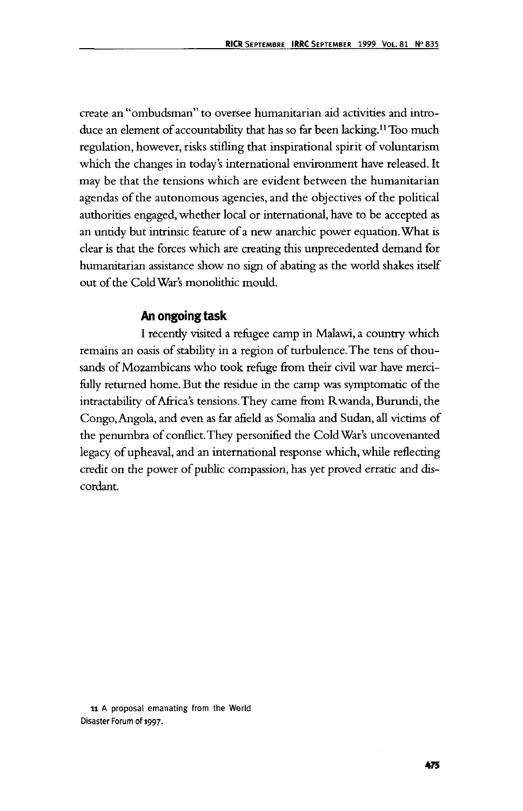create an "ombudsman" to oversee humanitarian aid activities and introduce an element of accountability that has so far been lacking.11 Too much regulation, however, risks stifling that inspirational spirit of voluntarism which the changes in today's international environment have released. It may be that the tensions which are evident between the humanitarian agendas of the autonomous agencies, and the objectives of the political authorities engaged, whether local or international, have to be accepted as an untidy but intrinsic feature of a new anarchic power equation. What is clear is that the forces which are creating this unprecedented demand for humanitarian assistance show no sign of abating as the world shakes itself out of the Cold War's monolithic mould.

#### **An ongoing task**

I recently visited a refugee camp in Malawi, a country which remains an oasis of stability in a region of turbulence. The tens of thousands of Mozambicans who took refuge from their civil war have mercifully returned home. But the residue in the camp was symptomatic of the intractability of Africa's tensions.They came from Rwanda, Burundi, the Congo, Angola, and even as far afield as Somalia and Sudan, all victims of the penumbra of conflict. They personified the Cold War's uncovenanted legacy of upheaval, and an international response which, while reflecting credit on the power of public compassion, has yet proved erratic and discordant.

11 A proposal emanating from the World Disaster Forum of 1997.